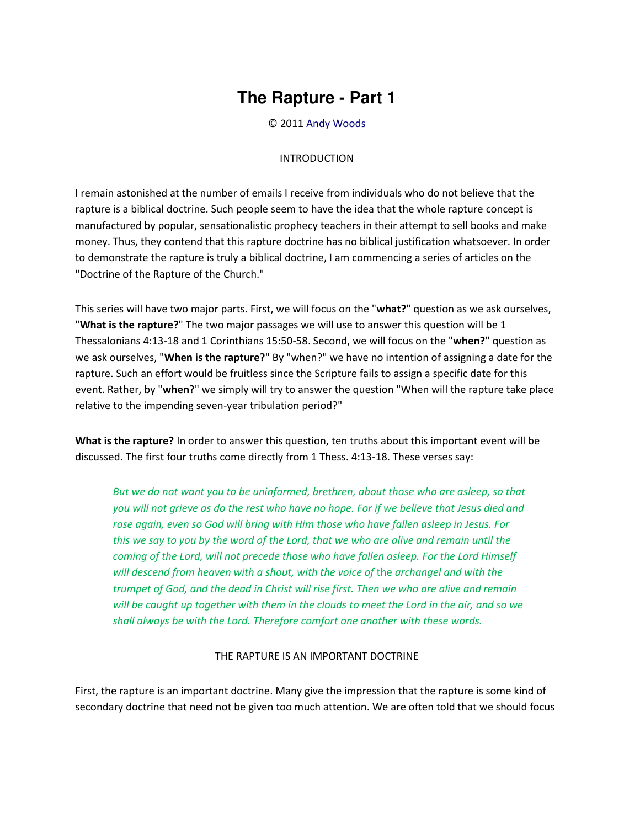## **The Rapture - Part 1**

© 2011 [Andy Woods](http://www.spiritandtruth.org/id/aw.htm)

## INTRODUCTION

I remain astonished at the number of emails I receive from individuals who do not believe that the rapture is a biblical doctrine. Such people seem to have the idea that the whole rapture concept is manufactured by popular, sensationalistic prophecy teachers in their attempt to sell books and make money. Thus, they contend that this rapture doctrine has no biblical justification whatsoever. In order to demonstrate the rapture is truly a biblical doctrine, I am commencing a series of articles on the "Doctrine of the Rapture of the Church."

This series will have two major parts. First, we will focus on the "**what?**" question as we ask ourselves, "**What is the rapture?**" The two major passages we will use to answer this question will be 1 Thessalonians 4:13-18 and 1 Corinthians 15:50-58. Second, we will focus on the "**when?**" question as we ask ourselves, "**When is the rapture?**" By "when?" we have no intention of assigning a date for the rapture. Such an effort would be fruitless since the Scripture fails to assign a specific date for this event. Rather, by "**when?**" we simply will try to answer the question "When will the rapture take place relative to the impending seven-year tribulation period?"

**What is the rapture?** In order to answer this question, ten truths about this important event will be discussed. The first four truths come directly from 1 Thess. 4:13-18. These verses say:

*But we do not want you to be uninformed, brethren, about those who are asleep, so that you will not grieve as do the rest who have no hope. For if we believe that Jesus died and rose again, even so God will bring with Him those who have fallen asleep in Jesus. For this we say to you by the word of the Lord, that we who are alive and remain until the coming of the Lord, will not precede those who have fallen asleep. For the Lord Himself*  will descend from heaven with a shout, with the voice of the archangel and with the *trumpet of God, and the dead in Christ will rise first. Then we who are alive and remain will be caught up together with them in the clouds to meet the Lord in the air, and so we shall always be with the Lord. Therefore comfort one another with these words.* 

## THE RAPTURE IS AN IMPORTANT DOCTRINE

First, the rapture is an important doctrine. Many give the impression that the rapture is some kind of secondary doctrine that need not be given too much attention. We are often told that we should focus